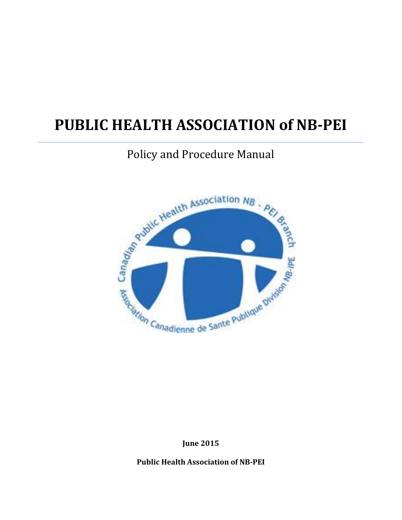# **PUBLIC HEALTH ASSOCIATION of NB-PEI**

## Policy and Procedure Manual



**June 2015**

**Public Health Association of NB-PEI**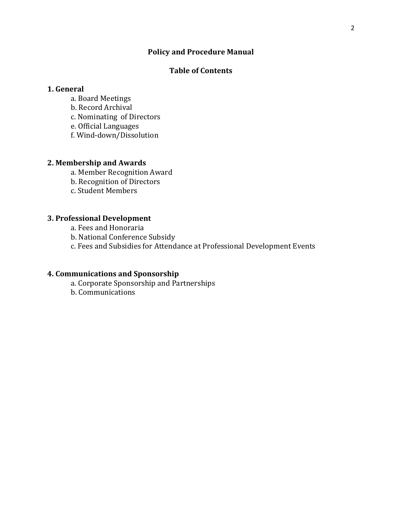#### **Policy and Procedure Manual**

#### **Table of Contents**

#### **1. General**

- a. Board Meetings
- b. Record Archival
- c. Nominating of Directors
- e. Official Languages
- f. Wind-down/Dissolution

#### **2. Membership and Awards**

- a. Member Recognition Award
- b. Recognition of Directors
- c. Student Members

#### **3. Professional Development**

- a. Fees and Honoraria
- b. National Conference Subsidy
- c. Fees and Subsidies for Attendance at Professional Development Events

#### **4. Communications and Sponsorship**

- a. Corporate Sponsorship and Partnerships
- b. Communications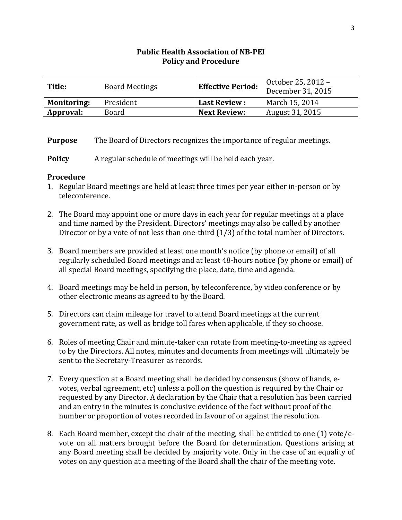| Title:             | <b>Board Meetings</b> | <b>Effective Period:</b> | October 25, 2012 -<br>December 31, 2015 |
|--------------------|-----------------------|--------------------------|-----------------------------------------|
| <b>Monitoring:</b> | President             | <b>Last Review:</b>      | March 15, 2014                          |
| Approval:          | Board                 | <b>Next Review:</b>      | August 31, 2015                         |

**Purpose** The Board of Directors recognizes the importance of regular meetings.

**Policy** A regular schedule of meetings will be held each year.

- 1. Regular Board meetings are held at least three times per year either in-person or by teleconference.
- 2. The Board may appoint one or more days in each year for regular meetings at a place and time named by the President. Directors' meetings may also be called by another Director or by a vote of not less than one-third (1/3) of the total number of Directors.
- 3. Board members are provided at least one month's notice (by phone or email) of all regularly scheduled Board meetings and at least 48-hours notice (by phone or email) of all special Board meetings, specifying the place, date, time and agenda.
- 4. Board meetings may be held in person, by teleconference, by video conference or by other electronic means as agreed to by the Board.
- 5. Directors can claim mileage for travel to attend Board meetings at the current government rate, as well as bridge toll fares when applicable, if they so choose.
- 6. Roles of meeting Chair and minute-taker can rotate from meeting-to-meeting as agreed to by the Directors. All notes, minutes and documents from meetings will ultimately be sent to the Secretary-Treasurer as records.
- 7. Every question at a Board meeting shall be decided by consensus (show of hands, evotes, verbal agreement, etc) unless a poll on the question is required by the Chair or requested by any Director. A declaration by the Chair that a resolution has been carried and an entry in the minutes is conclusive evidence of the fact without proof of the number or proportion of votes recorded in favour of or against the resolution.
- 8. Each Board member, except the chair of the meeting, shall be entitled to one (1) vote/evote on all matters brought before the Board for determination. Questions arising at any Board meeting shall be decided by majority vote. Only in the case of an equality of votes on any question at a meeting of the Board shall the chair of the meeting vote.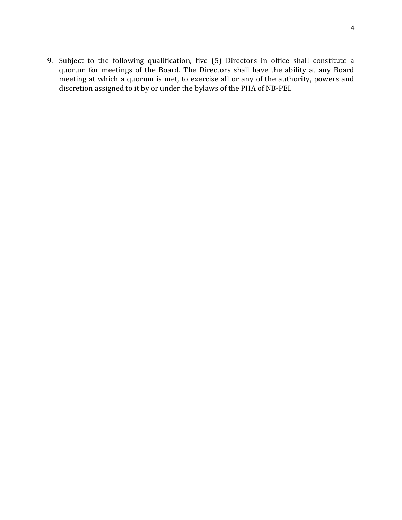9. Subject to the following qualification, five (5) Directors in office shall constitute a quorum for meetings of the Board. The Directors shall have the ability at any Board meeting at which a quorum is met, to exercise all or any of the authority, powers and discretion assigned to it by or under the bylaws of the PHA of NB-PEI.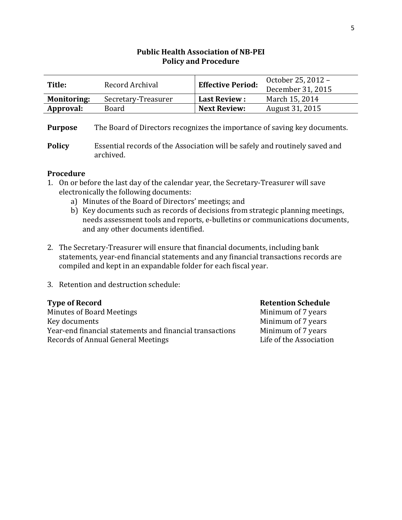| Title:             | Record Archival     | <b>Effective Period:</b> | October 25, 2012 - |
|--------------------|---------------------|--------------------------|--------------------|
|                    |                     |                          | December 31, 2015  |
| <b>Monitoring:</b> | Secretary-Treasurer | <b>Last Review:</b>      | March 15, 2014     |
| Approval:          | Board               | <b>Next Review:</b>      | August 31, 2015    |

**Purpose** The Board of Directors recognizes the importance of saving key documents.

**Policy** Essential records of the Association will be safely and routinely saved and archived.

#### **Procedure**

- 1. On or before the last day of the calendar year, the Secretary-Treasurer will save electronically the following documents:
	- a) Minutes of the Board of Directors' meetings; and
	- b) Key documents such as records of decisions from strategic planning meetings, needs assessment tools and reports, e-bulletins or communications documents, and any other documents identified.
- 2. The Secretary-Treasurer will ensure that financial documents, including bank statements, year-end financial statements and any financial transactions records are compiled and kept in an expandable folder for each fiscal year.
- 3. Retention and destruction schedule:

#### **Type of Record Retention Schedule**

Minutes of Board Meetings Minimum of 7 years Key documents Minimum of 7 years Year-end financial statements and financial transactions Minimum of 7 years Records of Annual General Meetings The Contract Life of the Association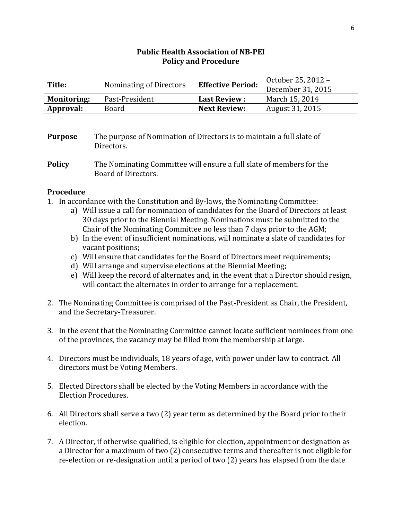| Title:             | Nominating of Directors | <b>Effective Period:</b> | October 25, 2012 – |
|--------------------|-------------------------|--------------------------|--------------------|
|                    |                         |                          | December 31, 2015  |
| <b>Monitoring:</b> | Past-President          | <b>Last Review:</b>      | March 15, 2014     |
| Approval:          | Board                   | <b>Next Review:</b>      | August 31, 2015    |

**Purpose** The purpose of Nomination of Directors is to maintain a full slate of Directors.

- 1. In accordance with the Constitution and By-laws, the Nominating Committee:
	- a) Will issue a call for nomination of candidates for the Board of Directors at least 30 days prior to the Biennial Meeting. Nominations must be submitted to the Chair of the Nominating Committee no less than 7 days prior to the AGM;
	- b) In the event of insufficient nominations, will nominate a slate of candidates for vacant positions;
	- c) Will ensure that candidates for the Board of Directors meet requirements;
	- d) Will arrange and supervise elections at the Biennial Meeting;
	- e) Will keep the record of alternates and, in the event that a Director should resign, will contact the alternates in order to arrange for a replacement.
- 2. The Nominating Committee is comprised of the Past-President as Chair, the President, and the Secretary-Treasurer.
- 3. In the event that the Nominating Committee cannot locate sufficient nominees from one of the provinces, the vacancy may be filled from the membership at large.
- 4. Directors must be individuals, 18 years of age, with power under law to contract. All directors must be Voting Members.
- 5. Elected Directors shall be elected by the Voting Members in accordance with the Election Procedures.
- 6. All Directors shall serve a two (2) year term as determined by the Board prior to their election.
- 7. A Director, if otherwise qualified, is eligible for election, appointment or designation as a Director for a maximum of two (2) consecutive terms and thereafter is not eligible for re-election or re-designation until a period of two (2) years has elapsed from the date

**Policy** The Nominating Committee will ensure a full slate of members for the Board of Directors.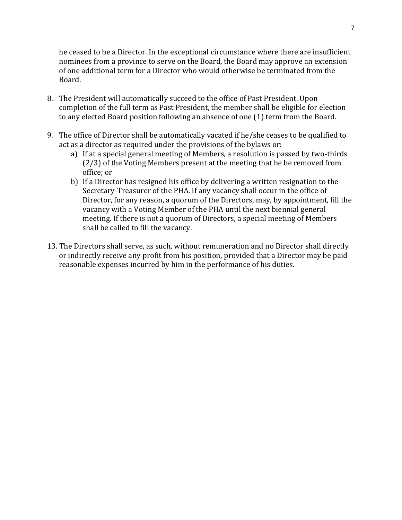he ceased to be a Director. In the exceptional circumstance where there are insufficient nominees from a province to serve on the Board, the Board may approve an extension of one additional term for a Director who would otherwise be terminated from the Board.

- 8. The President will automatically succeed to the office of Past President. Upon completion of the full term as Past President, the member shall be eligible for election to any elected Board position following an absence of one (1) term from the Board.
- 9. The office of Director shall be automatically vacated if he/she ceases to be qualified to act as a director as required under the provisions of the bylaws or:
	- a) If at a special general meeting of Members, a resolution is passed by two-thirds (2/3) of the Voting Members present at the meeting that he be removed from office; or
	- b) If a Director has resigned his office by delivering a written resignation to the Secretary-Treasurer of the PHA. If any vacancy shall occur in the office of Director, for any reason, a quorum of the Directors, may, by appointment, fill the vacancy with a Voting Member of the PHA until the next biennial general meeting. If there is not a quorum of Directors, a special meeting of Members shall be called to fill the vacancy.
- 13. The Directors shall serve, as such, without remuneration and no Director shall directly or indirectly receive any profit from his position, provided that a Director may be paid reasonable expenses incurred by him in the performance of his duties.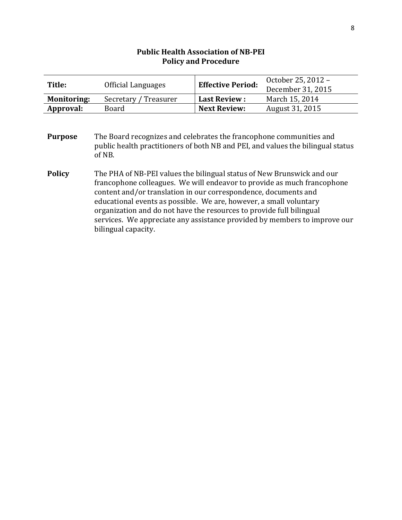| Title:             | Official Languages    | <b>Effective Period:</b> | October 25, 2012 -<br>December 31, 2015 |
|--------------------|-----------------------|--------------------------|-----------------------------------------|
| <b>Monitoring:</b> | Secretary / Treasurer | Last Review :            | March 15, 2014                          |
| Approval:          | Board                 | <b>Next Review:</b>      | August 31, 2015                         |

**Purpose** The Board recognizes and celebrates the francophone communities and public health practitioners of both NB and PEI, and values the bilingual status of NB.

**Policy** The PHA of NB-PEI values the bilingual status of New Brunswick and our francophone colleagues. We will endeavor to provide as much francophone content and/or translation in our correspondence, documents and educational events as possible. We are, however, a small voluntary organization and do not have the resources to provide full bilingual services. We appreciate any assistance provided by members to improve our bilingual capacity.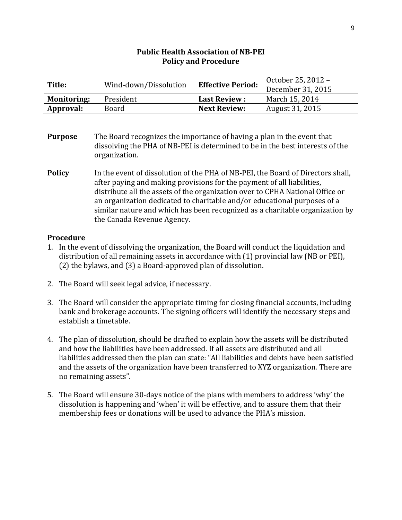| Title:             | Wind-down/Dissolution | <b>Effective Period:</b> | October 25, 2012 -<br>December 31, 2015 |
|--------------------|-----------------------|--------------------------|-----------------------------------------|
| <b>Monitoring:</b> | President             | <b>Last Review:</b>      | March 15, 2014                          |
| Approval:          | Board                 | <b>Next Review:</b>      | August 31, 2015                         |

- **Purpose** The Board recognizes the importance of having a plan in the event that dissolving the PHA of NB-PEI is determined to be in the best interests of the organization.
- **Policy** In the event of dissolution of the PHA of NB-PEI, the Board of Directors shall, after paying and making provisions for the payment of all liabilities, distribute all the assets of the organization over to CPHA National Office or an organization dedicated to charitable and/or educational purposes of a similar nature and which has been recognized as a charitable organization by the Canada Revenue Agency.

- 1. In the event of dissolving the organization, the Board will conduct the liquidation and distribution of all remaining assets in accordance with (1) provincial law (NB or PEI), (2) the bylaws, and (3) a Board-approved plan of dissolution.
- 2. The Board will seek legal advice, if necessary.
- 3. The Board will consider the appropriate timing for closing financial accounts, including bank and brokerage accounts. The signing officers will identify the necessary steps and establish a timetable.
- 4. The plan of dissolution, should be drafted to explain how the assets will be distributed and how the liabilities have been addressed. If all assets are distributed and all liabilities addressed then the plan can state: "All liabilities and debts have been satisfied and the assets of the organization have been transferred to XYZ organization. There are no remaining assets".
- 5. The Board will ensure 30-days notice of the plans with members to address 'why' the dissolution is happening and 'when' it will be effective, and to assure them that their membership fees or donations will be used to advance the PHA's mission.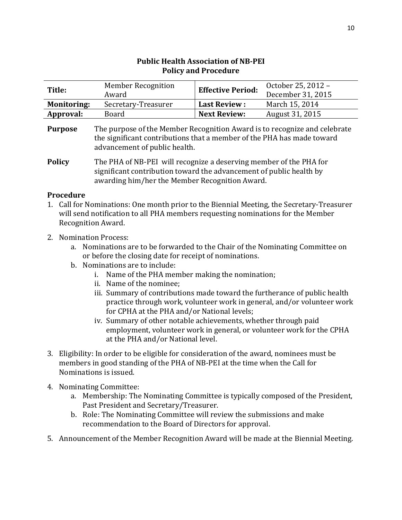| <b>Policy and Procedure</b> |                           |                          |                    |
|-----------------------------|---------------------------|--------------------------|--------------------|
| Title:                      | <b>Member Recognition</b> | <b>Effective Period:</b> | October 25, 2012 - |
|                             | Award                     |                          | December 31, 2015  |
| <b>Monitoring:</b>          | Secretary-Treasurer       | <b>Last Review:</b>      | March 15, 2014     |
| Approval:                   | Board                     | <b>Next Review:</b>      | August 31, 2015    |
|                             |                           |                          |                    |

| <b>Purpose</b> | The purpose of the Member Recognition Award is to recognize and celebrate |
|----------------|---------------------------------------------------------------------------|
|                | the significant contributions that a member of the PHA has made toward    |
|                | advancement of public health.                                             |

**Policy** The PHA of NB-PEI will recognize a deserving member of the PHA for significant contribution toward the advancement of public health by awarding him/her the Member Recognition Award.

- 1. Call for Nominations: One month prior to the Biennial Meeting, the Secretary-Treasurer will send notification to all PHA members requesting nominations for the Member Recognition Award.
- 2. Nomination Process:
	- a. Nominations are to be forwarded to the Chair of the Nominating Committee on or before the closing date for receipt of nominations.
	- b. Nominations are to include:
		- i. Name of the PHA member making the nomination;
		- ii. Name of the nominee;
		- iii. Summary of contributions made toward the furtherance of public health practice through work, volunteer work in general, and/or volunteer work for CPHA at the PHA and/or National levels;
		- iv. Summary of other notable achievements, whether through paid employment, volunteer work in general, or volunteer work for the CPHA at the PHA and/or National level.
- 3. Eligibility: In order to be eligible for consideration of the award, nominees must be members in good standing of the PHA of NB-PEI at the time when the Call for Nominations is issued.
- 4. Nominating Committee:
	- a. Membership: The Nominating Committee is typically composed of the President, Past President and Secretary/Treasurer.
	- b. Role: The Nominating Committee will review the submissions and make recommendation to the Board of Directors for approval.
- 5. Announcement of the Member Recognition Award will be made at the Biennial Meeting.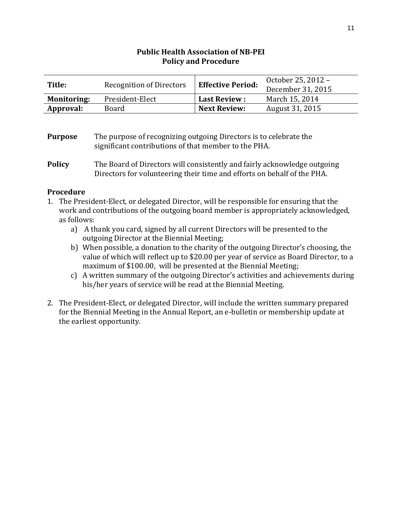| Title:             | <b>Recognition of Directors</b> | <b>Effective Period:</b> | October 25, 2012 - |
|--------------------|---------------------------------|--------------------------|--------------------|
|                    |                                 |                          | December 31, 2015  |
| <b>Monitoring:</b> | President-Elect                 | <b>Last Review:</b>      | March 15, 2014     |
| Approval:          | Board                           | <b>Next Review:</b>      | August 31, 2015    |

#### **Purpose** The purpose of recognizing outgoing Directors is to celebrate the significant contributions of that member to the PHA.

**Policy** The Board of Directors will consistently and fairly acknowledge outgoing Directors for volunteering their time and efforts on behalf of the PHA.

- 1. The President-Elect, or delegated Director, will be responsible for ensuring that the work and contributions of the outgoing board member is appropriately acknowledged, as follows:
	- a) A thank you card, signed by all current Directors will be presented to the outgoing Director at the Biennial Meeting;
	- b) When possible, a donation to the charity of the outgoing Director's choosing, the value of which will reflect up to \$20.00 per year of service as Board Director, to a maximum of \$100.00, will be presented at the Biennial Meeting;
	- c) A written summary of the outgoing Director's activities and achievements during his/her years of service will be read at the Biennial Meeting.
- 2. The President-Elect, or delegated Director, will include the written summary prepared for the Biennial Meeting in the Annual Report, an e-bulletin or membership update at the earliest opportunity.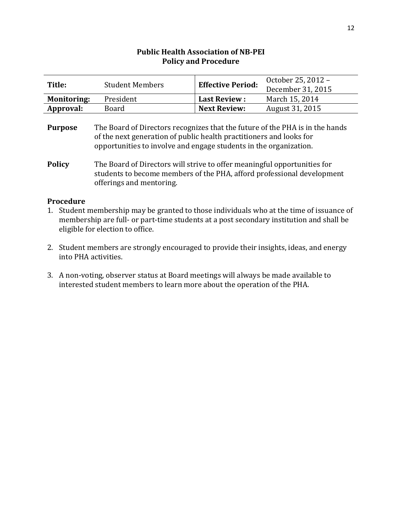| Title:             | <b>Student Members</b> | <b>Effective Period:</b> | October 25, 2012 -<br>December 31, 2015 |
|--------------------|------------------------|--------------------------|-----------------------------------------|
| <b>Monitoring:</b> | President              | <b>Last Review :</b>     | March 15, 2014                          |
| Approval:          | Board                  | <b>Next Review:</b>      | August 31, 2015                         |

**Purpose** The Board of Directors recognizes that the future of the PHA is in the hands of the next generation of public health practitioners and looks for opportunities to involve and engage students in the organization.

- 1. Student membership may be granted to those individuals who at the time of issuance of membership are full- or part-time students at a post secondary institution and shall be eligible for election to office.
- 2. Student members are strongly encouraged to provide their insights, ideas, and energy into PHA activities.
- 3. A non-voting, observer status at Board meetings will always be made available to interested student members to learn more about the operation of the PHA.

**Policy** The Board of Directors will strive to offer meaningful opportunities for students to become members of the PHA, afford professional development offerings and mentoring.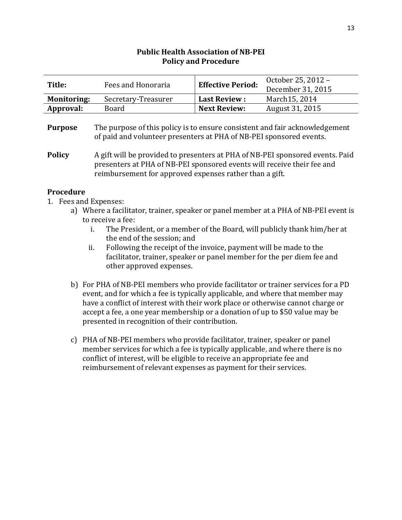| Title:             | Fees and Honoraria  | <b>Effective Period:</b> | October 25, 2012 - |
|--------------------|---------------------|--------------------------|--------------------|
|                    |                     |                          | December 31, 2015  |
| <b>Monitoring:</b> | Secretary-Treasurer | <b>Last Review:</b>      | March15, 2014      |
| Approval:          | Board               | <b>Next Review:</b>      | August 31, 2015    |

#### **Purpose** The purpose of this policy is to ensure consistent and fair acknowledgement of paid and volunteer presenters at PHA of NB-PEI sponsored events.

**Policy** A gift will be provided to presenters at PHA of NB-PEI sponsored events. Paid presenters at PHA of NB-PEI sponsored events will receive their fee and reimbursement for approved expenses rather than a gift.

- 1. Fees and Expenses:
	- a) Where a facilitator, trainer, speaker or panel member at a PHA of NB-PEI event is to receive a fee:
		- i. The President, or a member of the Board, will publicly thank him/her at the end of the session; and
		- ii. Following the receipt of the invoice, payment will be made to the facilitator, trainer, speaker or panel member for the per diem fee and other approved expenses.
	- b) For PHA of NB-PEI members who provide facilitator or trainer services for a PD event, and for which a fee is typically applicable, and where that member may have a conflict of interest with their work place or otherwise cannot charge or accept a fee, a one year membership or a donation of up to \$50 value may be presented in recognition of their contribution.
	- c) PHA of NB-PEI members who provide facilitator, trainer, speaker or panel member services for which a fee is typically applicable, and where there is no conflict of interest, will be eligible to receive an appropriate fee and reimbursement of relevant expenses as payment for their services.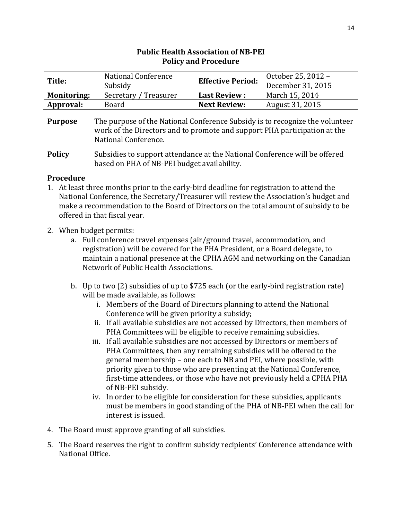| Title:             | National Conference<br>Subsidy | <b>Effective Period:</b> | October 25, 2012 -<br>December 31, 2015 |
|--------------------|--------------------------------|--------------------------|-----------------------------------------|
| <b>Monitoring:</b> | Secretary / Treasurer          | <b>Last Review:</b>      | March 15, 2014                          |
| Approval:          | Board                          | <b>Next Review:</b>      | August 31, 2015                         |
|                    |                                |                          |                                         |

- 1. At least three months prior to the early-bird deadline for registration to attend the National Conference, the Secretary/Treasurer will review the Association's budget and make a recommendation to the Board of Directors on the total amount of subsidy to be offered in that fiscal year.
- 2. When budget permits:
	- a. Full conference travel expenses (air/ground travel, accommodation, and registration) will be covered for the PHA President, or a Board delegate, to maintain a national presence at the CPHA AGM and networking on the Canadian Network of Public Health Associations.
	- b. Up to two (2) subsidies of up to \$725 each (or the early-bird registration rate) will be made available, as follows:
		- i. Members of the Board of Directors planning to attend the National Conference will be given priority a subsidy;
		- ii. If all available subsidies are not accessed by Directors, then members of PHA Committees will be eligible to receive remaining subsidies.
		- iii. If all available subsidies are not accessed by Directors or members of PHA Committees, then any remaining subsidies will be offered to the general membership – one each to NB and PEI, where possible, with priority given to those who are presenting at the National Conference, first-time attendees, or those who have not previously held a CPHA PHA of NB-PEI subsidy.
		- iv. In order to be eligible for consideration for these subsidies, applicants must be members in good standing of the PHA of NB-PEI when the call for interest is issued.
- 4. The Board must approve granting of all subsidies.
- 5. The Board reserves the right to confirm subsidy recipients' Conference attendance with National Office.

**Purpose** The purpose of the National Conference Subsidy is to recognize the volunteer work of the Directors and to promote and support PHA participation at the National Conference.

**Policy** Subsidies to support attendance at the National Conference will be offered based on PHA of NB-PEI budget availability.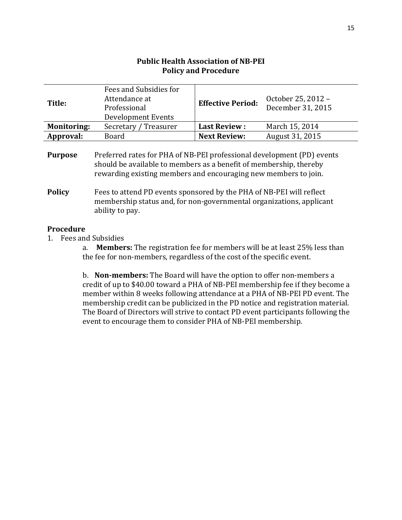| Title:             | Fees and Subsidies for<br>Attendance at<br>Professional<br>Development Events | <b>Effective Period:</b> | October 25, 2012 -<br>December 31, 2015 |
|--------------------|-------------------------------------------------------------------------------|--------------------------|-----------------------------------------|
| <b>Monitoring:</b> | Secretary / Treasurer                                                         | <b>Last Review:</b>      | March 15, 2014                          |
| Approval:          | <b>Board</b>                                                                  | <b>Next Review:</b>      | August 31, 2015                         |
|                    |                                                                               |                          |                                         |

| <b>Purpose</b> | Preferred rates for PHA of NB-PEI professional development (PD) events |
|----------------|------------------------------------------------------------------------|
|                | should be available to members as a benefit of membership, thereby     |
|                | rewarding existing members and encouraging new members to join.        |

**Policy** Fees to attend PD events sponsored by the PHA of NB-PEI will reflect membership status and, for non-governmental organizations, applicant ability to pay.

#### **Procedure**

1. Fees and Subsidies

a. **Members:** The registration fee for members will be at least 25% less than the fee for non-members, regardless of the cost of the specific event.

b. **Non-members:** The Board will have the option to offer non-members a credit of up to \$40.00 toward a PHA of NB-PEI membership fee if they become a member within 8 weeks following attendance at a PHA of NB-PEI PD event. The membership credit can be publicized in the PD notice and registration material. The Board of Directors will strive to contact PD event participants following the event to encourage them to consider PHA of NB-PEI membership.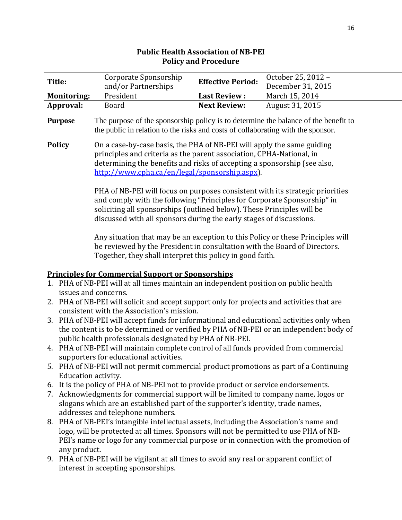### **Title:** Corporate Sponsorship and/or Partnerships **Effective Period:** October 25, 2012 – December 31, 2015 **Monitoring:** President **Last Review :** March 15, 2014 **Approval:** Board **Next Review:** August 31, 2015 **Purpose** The purpose of the sponsorship policy is to determine the balance of the benefit to the public in relation to the risks and costs of collaborating with the sponsor. **Policy** On a case-by-case basis, the PHA of NB-PEI will apply the same guiding principles and criteria as the parent association, CPHA-National, in determining the benefits and risks of accepting a sponsorship (see also, [http://www.cpha.ca/en/legal/sponsorship.aspx\)](http://www.cpha.ca/en/legal/sponsorship.aspx). PHA of NB-PEI will focus on purposes consistent with its strategic priorities and comply with the following "Principles for Corporate Sponsorship" in soliciting all sponsorships (outlined below). These Principles will be discussed with all sponsors during the early stages of discussions.

Any situation that may be an exception to this Policy or these Principles will be reviewed by the President in consultation with the Board of Directors. Together, they shall interpret this policy in good faith.

#### **Principles for Commercial Support or Sponsorships**

- 1. PHA of NB-PEI will at all times maintain an independent position on public health issues and concerns.
- 2. PHA of NB-PEI will solicit and accept support only for projects and activities that are consistent with the Association's mission.
- 3. PHA of NB-PEI will accept funds for informational and educational activities only when the content is to be determined or verified by PHA of NB-PEI or an independent body of public health professionals designated by PHA of NB-PEI.
- 4. PHA of NB-PEI will maintain complete control of all funds provided from commercial supporters for educational activities.
- 5. PHA of NB-PEI will not permit commercial product promotions as part of a Continuing Education activity.
- 6. It is the policy of PHA of NB-PEI not to provide product or service endorsements.
- 7. Acknowledgments for commercial support will be limited to company name, logos or slogans which are an established part of the supporter's identity, trade names, addresses and telephone numbers.
- 8. PHA of NB-PEI's intangible intellectual assets, including the Association's name and logo, will be protected at all times. Sponsors will not be permitted to use PHA of NB-PEI's name or logo for any commercial purpose or in connection with the promotion of any product.
- 9. PHA of NB-PEI will be vigilant at all times to avoid any real or apparent conflict of interest in accepting sponsorships.